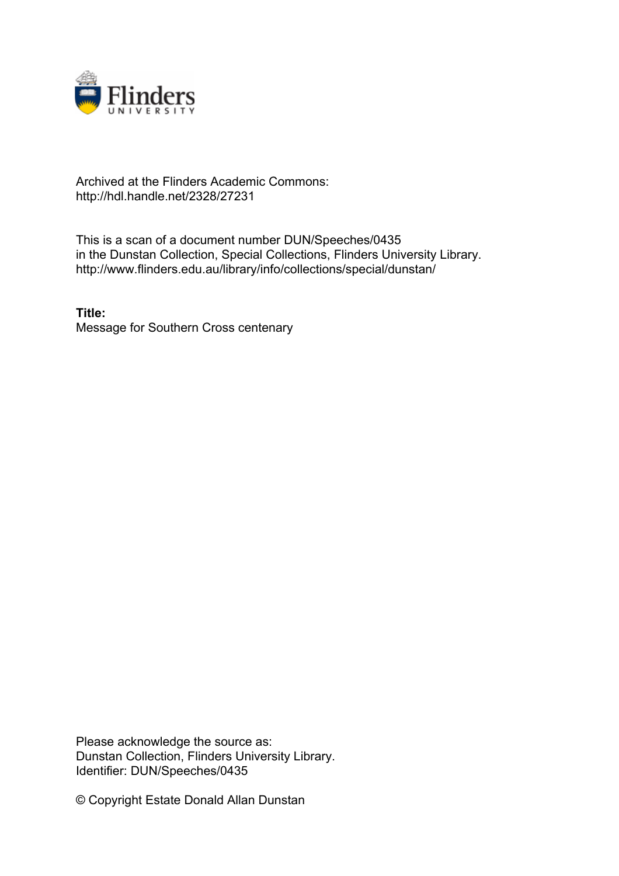

## Archived at the Flinders Academic Commons: http://hdl.handle.net/2328/27231

This is a scan of a document number DUN/Speeches/0435 in the Dunstan Collection, Special Collections, Flinders University Library. http://www.flinders.edu.au/library/info/collections/special/dunstan/

**Title:** Message for Southern Cross centenary

Please acknowledge the source as: Dunstan Collection, Flinders University Library. Identifier: DUN/Speeches/0435

© Copyright Estate Donald Allan Dunstan